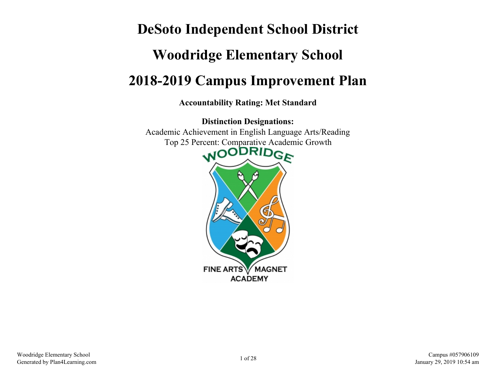# **DeSoto Independent School District Woodridge Elementary School 2018-2019 Campus Improvement Plan**

**Accountability Rating: Met Standard**

**Distinction Designations:** Academic Achievement in English Language Arts/Reading Top 25 Percent: Comparative Academic Growth

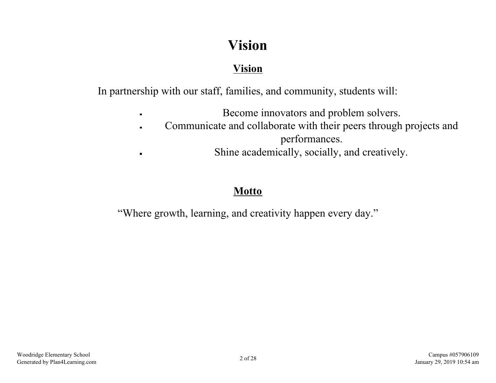## **Vision**

### **Vision**

In partnership with our staff, families, and community, students will:

Become innovators and problem solvers.  $\blacksquare$ Communicate and collaborate with their peers through projects and  $\blacksquare$ performances. Shine academically, socially, and creatively.

### **Motto**

 $\blacksquare$ 

"Where growth, learning, and creativity happen every day."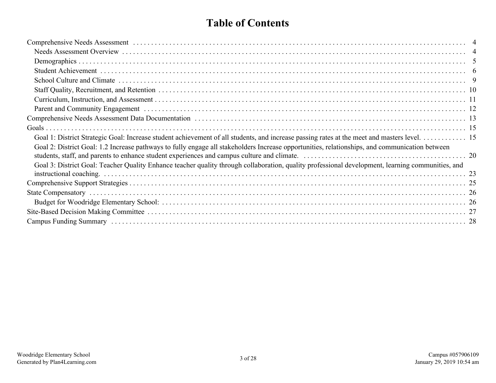### **Table of Contents**

| Goal 2: District Goal: 1.2 Increase pathways to fully engage all stakeholders Increase opportunities, relationships, and communication between    |  |
|---------------------------------------------------------------------------------------------------------------------------------------------------|--|
| Goal 3: District Goal: Teacher Quality Enhance teacher quality through collaboration, quality professional development, learning communities, and |  |
|                                                                                                                                                   |  |
|                                                                                                                                                   |  |
|                                                                                                                                                   |  |
|                                                                                                                                                   |  |
|                                                                                                                                                   |  |
|                                                                                                                                                   |  |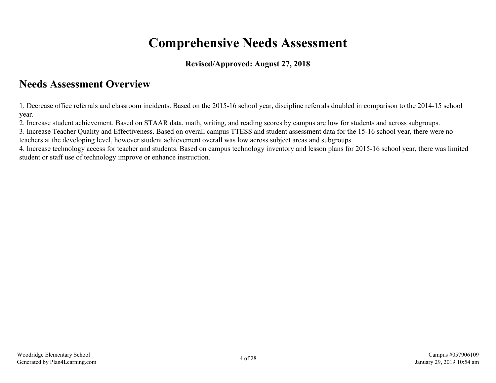## **Comprehensive Needs Assessment**

### **Revised/Approved: August 27, 2018**

### <span id="page-3-0"></span>**Needs Assessment Overview**

1. Decrease office referrals and classroom incidents. Based on the 2015-16 school year, discipline referrals doubled in comparison to the 2014-15 school year.

2. Increase student achievement. Based on STAAR data, math, writing, and reading scores by campus are low for students and across subgroups.

3. Increase Teacher Quality and Effectiveness. Based on overall campus TTESS and student assessment data for the 15-16 school year, there were no teachers at the developing level, however student achievement overall was low across subject areas and subgroups.

4. Increase technology access for teacher and students. Based on campus technology inventory and lesson plans for 2015-16 school year, there was limited student or staff use of technology improve or enhance instruction.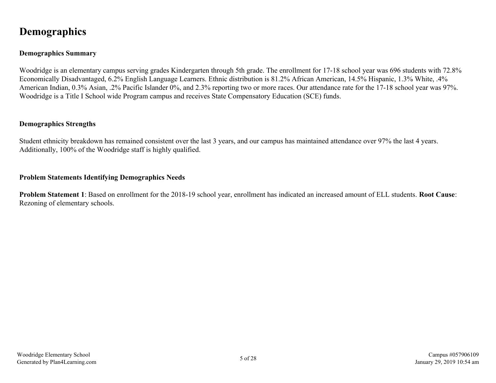### <span id="page-4-0"></span>**Demographics**

### **Demographics Summary**

Woodridge is an elementary campus serving grades Kindergarten through 5th grade. The enrollment for 17-18 school year was 696 students with 72.8% Economically Disadvantaged, 6.2% English Language Learners. Ethnic distribution is 81.2% African American, 14.5% Hispanic, 1.3% White, .4% American Indian, 0.3% Asian, .2% Pacific Islander 0%, and 2.3% reporting two or more races. Our attendance rate for the 17-18 school year was 97%. Woodridge is a Title I School wide Program campus and receives State Compensatory Education (SCE) funds.

#### **Demographics Strengths**

Student ethnicity breakdown has remained consistent over the last 3 years, and our campus has maintained attendance over 97% the last 4 years. Additionally, 100% of the Woodridge staff is highly qualified.

#### **Problem Statements Identifying Demographics Needs**

**Problem Statement 1**: Based on enrollment for the 2018-19 school year, enrollment has indicated an increased amount of ELL students. **Root Cause**: Rezoning of elementary schools.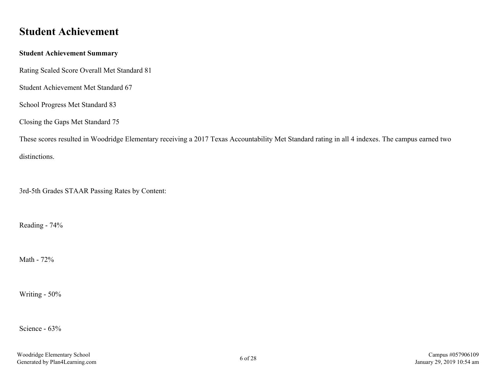### <span id="page-5-0"></span>**Student Achievement**

#### **Student Achievement Summary**

Rating Scaled Score Overall Met Standard 81

Student Achievement Met Standard 67

School Progress Met Standard 83

Closing the Gaps Met Standard 75

These scores resulted in Woodridge Elementary receiving a 2017 Texas Accountability Met Standard rating in all 4 indexes. The campus earned two distinctions.

3rd-5th Grades STAAR Passing Rates by Content:

Reading - 74%

Math - 72%

Writing - 50%

Science - 63%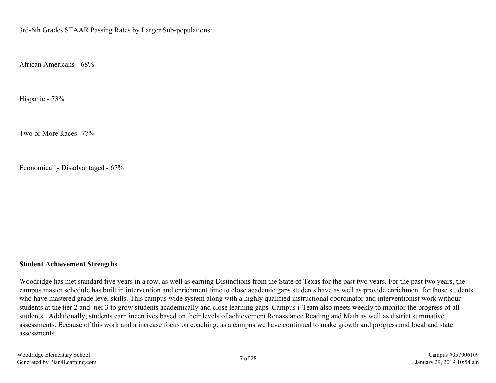3rd-6th Grades STAAR Passing Rates by Larger Sub-populations:

African Americans - 68%

Hispanic - 73%

Two or More Races- 77%

Economically Disadvantaged - 67%

#### **Student Achievement Strengths**

Woodridge has met standard five years in a row, as well as earning Distinctions from the State of Texas for the past two years. For the past two years, the campus master schedule has built in intervention and enrichment time to close academic gaps students have as well as provide enrichment for those students who have mastered grade level skills. This campus wide system along with a highly qualified instructional coordinator and interventionist work withour students at the tier 2 and tier 3 to grow students academically and close learning gaps. Campus i-Team also meets weekly to monitor the progress of all students. Additionally, students earn incentives based on their levels of achievement Renassiance Reading and Math as well as district summative assessments. Because of this work and a increase focus on coaching, as a campus we have continued to make growth and progress and local and state assessments.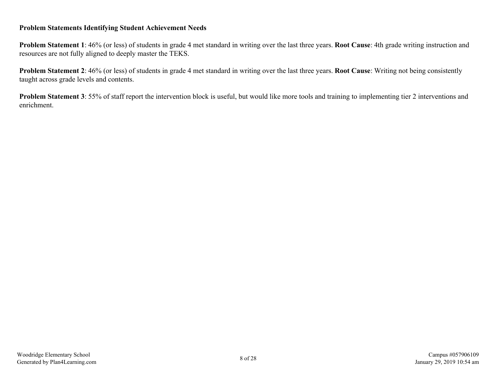#### **Problem Statements Identifying Student Achievement Needs**

**Problem Statement 1**: 46% (or less) of students in grade 4 met standard in writing over the last three years. **Root Cause**: 4th grade writing instruction and resources are not fully aligned to deeply master the TEKS.

**Problem Statement 2**: 46% (or less) of students in grade 4 met standard in writing over the last three years. **Root Cause**: Writing not being consistently taught across grade levels and contents.

**Problem Statement 3**: 55% of staff report the intervention block is useful, but would like more tools and training to implementing tier 2 interventions and enrichment.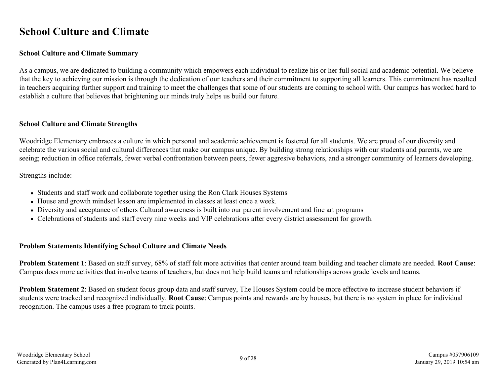### <span id="page-8-0"></span>**School Culture and Climate**

#### **School Culture and Climate Summary**

As a campus, we are dedicated to building a community which empowers each individual to realize his or her full social and academic potential. We believe that the key to achieving our mission is through the dedication of our teachers and their commitment to supporting all learners. This commitment has resulted in teachers acquiring further support and training to meet the challenges that some of our students are coming to school with. Our campus has worked hard to establish a culture that believes that brightening our minds truly helps us build our future.

#### **School Culture and Climate Strengths**

Woodridge Elementary embraces a culture in which personal and academic achievement is fostered for all students. We are proud of our diversity and celebrate the various social and cultural differences that make our campus unique. By building strong relationships with our students and parents, we are seeing; reduction in office referrals, fewer verbal confrontation between peers, fewer aggresive behaviors, and a stronger community of learners developing.

Strengths include:

- Students and staff work and collaborate together using the Ron Clark Houses Systems
- House and growth mindset lesson are implemented in classes at least once a week.
- Diversity and acceptance of others Cultural awareness is built into our parent involvement and fine art programs
- Celebrations of students and staff every nine weeks and VIP celebrations after every district assessment for growth.

### **Problem Statements Identifying School Culture and Climate Needs**

**Problem Statement 1**: Based on staff survey, 68% of staff felt more activities that center around team building and teacher climate are needed. **Root Cause**: Campus does more activities that involve teams of teachers, but does not help build teams and relationships across grade levels and teams.

**Problem Statement 2**: Based on student focus group data and staff survey, The Houses System could be more effective to increase student behaviors if students were tracked and recognized individually. **Root Cause**: Campus points and rewards are by houses, but there is no system in place for individual recognition. The campus uses a free program to track points.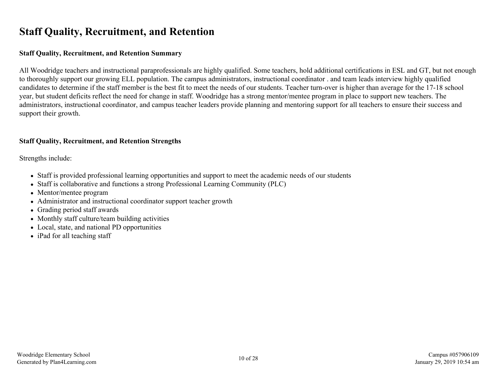### <span id="page-9-0"></span>**Staff Quality, Recruitment, and Retention**

#### **Staff Quality, Recruitment, and Retention Summary**

All Woodridge teachers and instructional paraprofessionals are highly qualified. Some teachers, hold additional certifications in ESL and GT, but not enough to thoroughly support our growing ELL population. The campus administrators, instructional coordinator . and team leads interview highly qualified candidates to determine if the staff member is the best fit to meet the needs of our students. Teacher turn-over is higher than average for the 17-18 school year, but student deficits reflect the need for change in staff. Woodridge has a strong mentor/mentee program in place to support new teachers. The administrators, instructional coordinator, and campus teacher leaders provide planning and mentoring support for all teachers to ensure their success and support their growth.

### **Staff Quality, Recruitment, and Retention Strengths**

Strengths include:

- Staff is provided professional learning opportunities and support to meet the academic needs of our students
- Staff is collaborative and functions a strong Professional Learning Community (PLC)
- Mentor/mentee program
- Administrator and instructional coordinator support teacher growth
- Grading period staff awards
- Monthly staff culture/team building activities
- Local, state, and national PD opportunities
- iPad for all teaching staff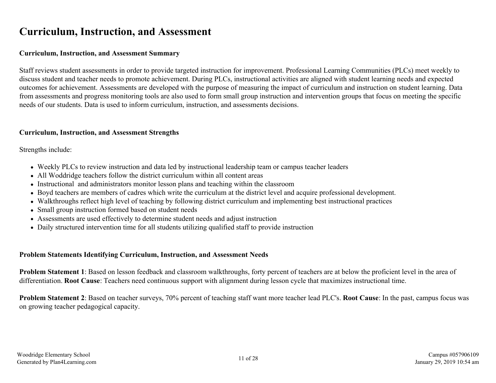### <span id="page-10-0"></span>**Curriculum, Instruction, and Assessment**

#### **Curriculum, Instruction, and Assessment Summary**

Staff reviews student assessments in order to provide targeted instruction for improvement. Professional Learning Communities (PLCs) meet weekly to discuss student and teacher needs to promote achievement. During PLCs, instructional activities are aligned with student learning needs and expected outcomes for achievement. Assessments are developed with the purpose of measuring the impact of curriculum and instruction on student learning. Data from assessments and progress monitoring tools are also used to form small group instruction and intervention groups that focus on meeting the specific needs of our students. Data is used to inform curriculum, instruction, and assessments decisions.

#### **Curriculum, Instruction, and Assessment Strengths**

Strengths include:

- Weekly PLCs to review instruction and data led by instructional leadership team or campus teacher leaders
- All Woddridge teachers follow the district curriculum within all content areas
- Instructional and administrators monitor lesson plans and teaching within the classroom
- Boyd teachers are members of cadres which write the curriculum at the district level and acquire professional development.
- Walkthroughs reflect high level of teaching by following district curriculum and implementing best instructional practices
- Small group instruction formed based on student needs
- Assessments are used effectively to determine student needs and adjust instruction
- Daily structured intervention time for all students utilizing qualified staff to provide instruction

### **Problem Statements Identifying Curriculum, Instruction, and Assessment Needs**

**Problem Statement 1**: Based on lesson feedback and classroom walkthroughs, forty percent of teachers are at below the proficient level in the area of differentiation. **Root Cause**: Teachers need continuous support with alignment during lesson cycle that maximizes instructional time.

**Problem Statement 2**: Based on teacher surveys, 70% percent of teaching staff want more teacher lead PLC's. **Root Cause**: In the past, campus focus was on growing teacher pedagogical capacity.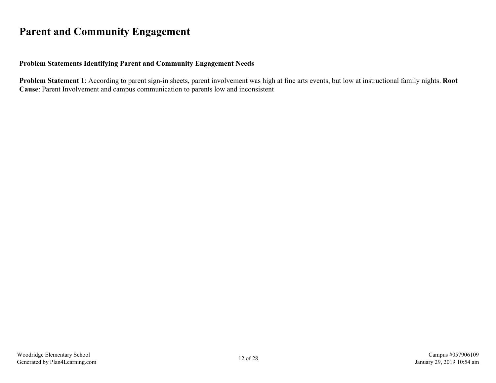### <span id="page-11-0"></span>**Parent and Community Engagement**

### **Problem Statements Identifying Parent and Community Engagement Needs**

**Problem Statement 1**: According to parent sign-in sheets, parent involvement was high at fine arts events, but low at instructional family nights. **Root Cause**: Parent Involvement and campus communication to parents low and inconsistent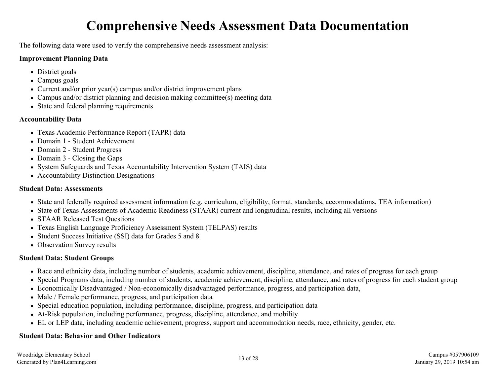## **Comprehensive Needs Assessment Data Documentation**

<span id="page-12-0"></span>The following data were used to verify the comprehensive needs assessment analysis:

### **Improvement Planning Data**

- District goals
- Campus goals
- Current and/or prior year(s) campus and/or district improvement plans
- Campus and/or district planning and decision making committee(s) meeting data
- State and federal planning requirements

### **Accountability Data**

- Texas Academic Performance Report (TAPR) data
- Domain 1 Student Achievement
- Domain 2 Student Progress
- Domain 3 Closing the Gaps
- System Safeguards and Texas Accountability Intervention System (TAIS) data
- Accountability Distinction Designations

### **Student Data: Assessments**

- State and federally required assessment information (e.g. curriculum, eligibility, format, standards, accommodations, TEA information)
- State of Texas Assessments of Academic Readiness (STAAR) current and longitudinal results, including all versions
- STAAR Released Test Ouestions
- Texas English Language Proficiency Assessment System (TELPAS) results
- Student Success Initiative (SSI) data for Grades 5 and 8
- Observation Survey results

### **Student Data: Student Groups**

- Race and ethnicity data, including number of students, academic achievement, discipline, attendance, and rates of progress for each group
- Special Programs data, including number of students, academic achievement, discipline, attendance, and rates of progress for each student group
- Economically Disadvantaged / Non-economically disadvantaged performance, progress, and participation data,
- Male / Female performance, progress, and participation data
- Special education population, including performance, discipline, progress, and participation data
- At-Risk population, including performance, progress, discipline, attendance, and mobility
- EL or LEP data, including academic achievement, progress, support and accommodation needs, race, ethnicity, gender, etc.

### **Student Data: Behavior and Other Indicators**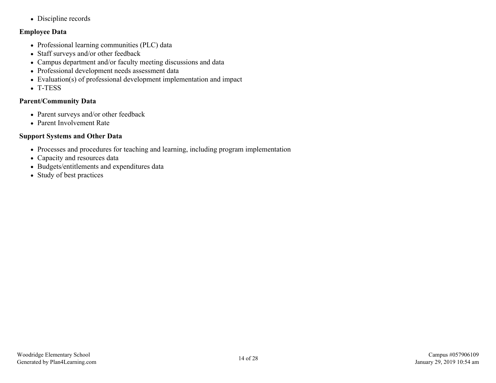• Discipline records

### **Employee Data**

- Professional learning communities (PLC) data
- Staff surveys and/or other feedback
- Campus department and/or faculty meeting discussions and data
- Professional development needs assessment data
- Evaluation(s) of professional development implementation and impact
- T-TESS

### **Parent/Community Data**

- Parent surveys and/or other feedback
- Parent Involvement Rate

### **Support Systems and Other Data**

- Processes and procedures for teaching and learning, including program implementation
- Capacity and resources data
- Budgets/entitlements and expenditures data
- Study of best practices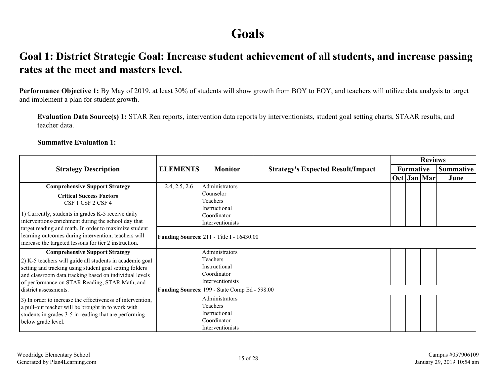## **Goals**

### <span id="page-14-0"></span>**Goal 1: District Strategic Goal: Increase student achievement of all students, and increase passing rates at the meet and masters level.**

**Performance Objective 1:** By May of 2019, at least 30% of students will show growth from BOY to EOY, and teachers will utilize data analysis to target and implement a plan for student growth.

**Evaluation Data Source(s) 1:** STAR Ren reports, intervention data reports by interventionists, student goal setting charts, STAAR results, and teacher data.

#### **Summative Evaluation 1:**

|                                                                                                                                                                                                                                                                                                                             |                 |                                                                                                                                                 |                                          |  |                  | <b>Reviews</b> |                  |
|-----------------------------------------------------------------------------------------------------------------------------------------------------------------------------------------------------------------------------------------------------------------------------------------------------------------------------|-----------------|-------------------------------------------------------------------------------------------------------------------------------------------------|------------------------------------------|--|------------------|----------------|------------------|
| <b>Strategy Description</b>                                                                                                                                                                                                                                                                                                 | <b>ELEMENTS</b> | <b>Monitor</b>                                                                                                                                  | <b>Strategy's Expected Result/Impact</b> |  | <b>Formative</b> |                | <b>Summative</b> |
|                                                                                                                                                                                                                                                                                                                             |                 |                                                                                                                                                 |                                          |  |                  | Oct Jan Mar    | June             |
| <b>Comprehensive Support Strategy</b><br><b>Critical Success Factors</b><br>CSF 1 CSF 2 CSF 4<br>1) Currently, students in grades K-5 receive daily<br>interventions/enrichment during the school day that<br>target reading and math. In order to maximize student<br>learning outcomes during intervention, teachers will | 2.4, 2.5, 2.6   | Administrators<br>Counselor<br>Teachers<br>Instructional<br>Coordinator<br>Interventionists<br><b>Funding Sources: 211 - Title I - 16430.00</b> |                                          |  |                  |                |                  |
| increase the targeted lessons for tier 2 instruction.                                                                                                                                                                                                                                                                       |                 |                                                                                                                                                 |                                          |  |                  |                |                  |
| <b>Comprehensive Support Strategy</b><br>2) K-5 teachers will guide all students in academic goal<br>setting and tracking using student goal setting folders<br>and classroom data tracking based on individual levels<br>of performance on STAR Reading, STAR Math, and                                                    |                 | Administrators<br>Teachers<br>Instructional<br>Coordinator<br>Interventionists                                                                  |                                          |  |                  |                |                  |
| district assessments.                                                                                                                                                                                                                                                                                                       |                 | Funding Sources: 199 - State Comp Ed - 598.00                                                                                                   |                                          |  |                  |                |                  |
| 3) In order to increase the effectiveness of intervention,<br>a pull-out teacher will be brought in to work with<br>students in grades 3-5 in reading that are performing<br>below grade level.                                                                                                                             |                 | Administrators<br>Teachers<br>Instructional<br>Coordinator<br>Interventionists                                                                  |                                          |  |                  |                |                  |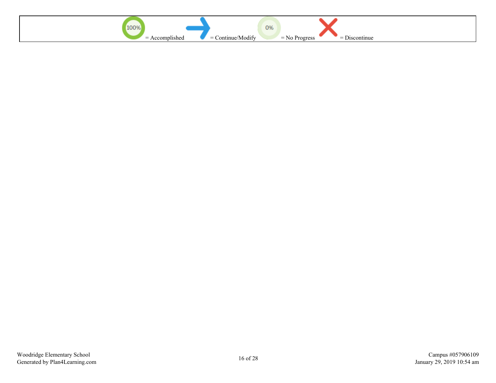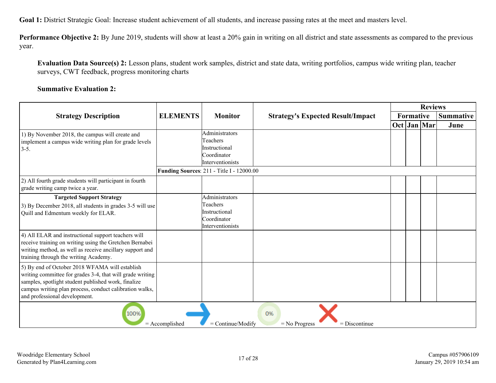**Goal 1:** District Strategic Goal: Increase student achievement of all students, and increase passing rates at the meet and masters level.

**Performance Objective 2:** By June 2019, students will show at least a 20% gain in writing on all district and state assessments as compared to the previous year.

**Evaluation Data Source(s) 2:** Lesson plans, student work samples, district and state data, writing portfolios, campus wide writing plan, teacher surveys, CWT feedback, progress monitoring charts

#### **Summative Evaluation 2:**

|                                                                                                                                                                                                                                                                |                  |                                                                                                                             |                                          | <b>Reviews</b> |               |  |      |           |  |  |                  |
|----------------------------------------------------------------------------------------------------------------------------------------------------------------------------------------------------------------------------------------------------------------|------------------|-----------------------------------------------------------------------------------------------------------------------------|------------------------------------------|----------------|---------------|--|------|-----------|--|--|------------------|
| <b>Strategy Description</b>                                                                                                                                                                                                                                    | <b>ELEMENTS</b>  | <b>Monitor</b>                                                                                                              | <b>Strategy's Expected Result/Impact</b> |                |               |  |      | Formative |  |  | <b>Summative</b> |
|                                                                                                                                                                                                                                                                |                  |                                                                                                                             |                                          |                | $Oct$ Jan Mar |  | June |           |  |  |                  |
| 1) By November 2018, the campus will create and<br>implement a campus wide writing plan for grade levels<br>$3-5.$                                                                                                                                             |                  | Administrators<br>Teachers<br>Instructional<br>Coordinator<br>Interventionists<br>Funding Sources: 211 - Title I - 12000.00 |                                          |                |               |  |      |           |  |  |                  |
| 2) All fourth grade students will participant in fourth<br>grade writing camp twice a year.                                                                                                                                                                    |                  |                                                                                                                             |                                          |                |               |  |      |           |  |  |                  |
| <b>Targeted Support Strategy</b><br>3) By December 2018, all students in grades 3-5 will use<br>Quill and Edmentum weekly for ELAR.                                                                                                                            |                  | Administrators<br>Teachers<br>Instructional<br>Coordinator<br>Interventionists                                              |                                          |                |               |  |      |           |  |  |                  |
| 4) All ELAR and instructional support teachers will<br>receive training on writing using the Gretchen Bernabei<br>writing method, as well as receive ancillary support and<br>training through the writing Academy.                                            |                  |                                                                                                                             |                                          |                |               |  |      |           |  |  |                  |
| 5) By end of October 2018 WFAMA will establish<br>writing committee for grades 3-4, that will grade writing<br>samples, spotlight student published work, finalize<br>campus writing plan process, conduct calibration walks,<br>and professional development. |                  |                                                                                                                             |                                          |                |               |  |      |           |  |  |                  |
| 100%                                                                                                                                                                                                                                                           | $=$ Accomplished | $=$ Continue/Modify                                                                                                         | 0%<br>$=$ No Progress<br>$=$ Discontinue |                |               |  |      |           |  |  |                  |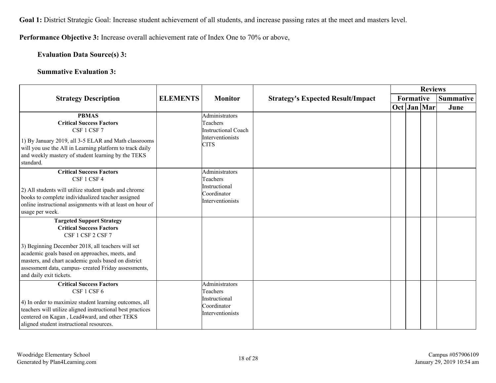**Goal 1:** District Strategic Goal: Increase student achievement of all students, and increase passing rates at the meet and masters level.

**Performance Objective 3:** Increase overall achievement rate of Index One to 70% or above,

**Evaluation Data Source(s) 3:**

**Summative Evaluation 3:**

|                                                                                                                                                                                                                                                                                                                                           |                 |                                                                                             |                                          |  |           | <b>Reviews</b> |                  |
|-------------------------------------------------------------------------------------------------------------------------------------------------------------------------------------------------------------------------------------------------------------------------------------------------------------------------------------------|-----------------|---------------------------------------------------------------------------------------------|------------------------------------------|--|-----------|----------------|------------------|
| <b>Strategy Description</b>                                                                                                                                                                                                                                                                                                               | <b>ELEMENTS</b> | <b>Monitor</b>                                                                              | <b>Strategy's Expected Result/Impact</b> |  | Formative |                | <b>Summative</b> |
|                                                                                                                                                                                                                                                                                                                                           |                 |                                                                                             |                                          |  |           | $Oct$ Jan Mar  | June             |
| <b>PBMAS</b><br><b>Critical Success Factors</b><br>CSF 1 CSF 7<br>1) By January 2019, all 3-5 ELAR and Math classrooms<br>will you use the All in Learning platform to track daily<br>and weekly mastery of student learning by the TEKS<br>standard.                                                                                     |                 | Administrators<br>Teachers<br><b>Instructional Coach</b><br>Interventionists<br><b>CITS</b> |                                          |  |           |                |                  |
| <b>Critical Success Factors</b><br>CSF 1 CSF 4<br>(2) All students will utilize student ipads and chrome<br>books to complete individualized teacher assigned<br>online instructional assignments with at least on hour of<br>usage per week.                                                                                             |                 | Administrators<br>Teachers<br>Instructional<br>Coordinator<br>Interventionists              |                                          |  |           |                |                  |
| <b>Targeted Support Strategy</b><br><b>Critical Success Factors</b><br>CSF 1 CSF 2 CSF 7<br>3) Beginning December 2018, all teachers will set<br>academic goals based on approaches, meets, and<br>masters, and chart academic goals based on district<br>assessment data, campus- created Friday assessments,<br>and daily exit tickets. |                 |                                                                                             |                                          |  |           |                |                  |
| <b>Critical Success Factors</b><br>CSF 1 CSF 6<br>4) In order to maximize student learning outcomes, all<br>teachers will utilize aligned instructional best practices<br>centered on Kagan, Lead4ward, and other TEKS<br>aligned student instructional resources.                                                                        |                 | Administrators<br>Teachers<br>Instructional<br>Coordinator<br>Interventionists              |                                          |  |           |                |                  |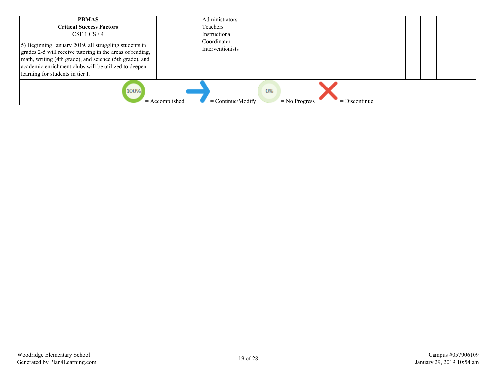| <b>PBMAS</b><br><b>Critical Success Factors</b><br>CSF 1 CSF 4<br>5) Beginning January 2019, all struggling students in<br>grades 2-5 will receive tutoring in the areas of reading,<br>math, writing (4th grade), and science (5th grade), and<br>academic enrichment clubs will be utilized to deepen<br>learning for students in tier I. | Administrators<br>Teachers<br>Instructional<br>Coordinator<br>Interventionists |                                          |  |  |
|---------------------------------------------------------------------------------------------------------------------------------------------------------------------------------------------------------------------------------------------------------------------------------------------------------------------------------------------|--------------------------------------------------------------------------------|------------------------------------------|--|--|
| 100%<br>$=$ Accomplished                                                                                                                                                                                                                                                                                                                    | $=$ Continue/Modify                                                            | 0%<br>$=$ Discontinue<br>$=$ No Progress |  |  |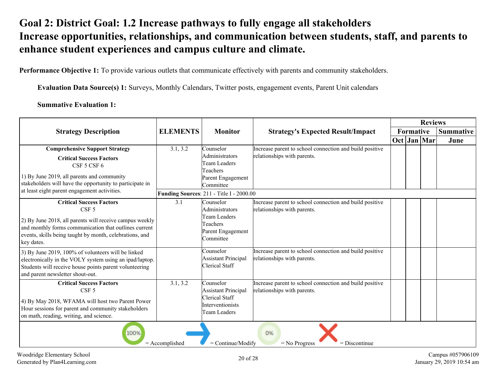### <span id="page-19-0"></span>**Goal 2: District Goal: 1.2 Increase pathways to fully engage all stakeholders Increase opportunities, relationships, and communication between students, staff, and parents to enhance student experiences and campus culture and climate.**

**Performance Objective 1:** To provide various outlets that communicate effectively with parents and community stakeholders.

**Evaluation Data Source(s) 1:** Surveys, Monthly Calendars, Twitter posts, engagement events, Parent Unit calendars

**Summative Evaluation 1:**

|                                                                                                                                                                                                                                                   |                  |                                                                                                                                              |                                                                                        | <b>Reviews</b><br>Formative<br><b>Summative</b> |  |               |      |
|---------------------------------------------------------------------------------------------------------------------------------------------------------------------------------------------------------------------------------------------------|------------------|----------------------------------------------------------------------------------------------------------------------------------------------|----------------------------------------------------------------------------------------|-------------------------------------------------|--|---------------|------|
| <b>Strategy Description</b>                                                                                                                                                                                                                       | <b>ELEMENTS</b>  | <b>Monitor</b>                                                                                                                               | <b>Strategy's Expected Result/Impact</b>                                               |                                                 |  |               |      |
|                                                                                                                                                                                                                                                   |                  |                                                                                                                                              |                                                                                        |                                                 |  | $Oct$ Jan Mar | June |
| <b>Comprehensive Support Strategy</b><br><b>Critical Success Factors</b><br>CSF 5 CSF 6<br>1) By June 2019, all parents and community<br>stakeholders will have the opportunity to participate in<br>at least eight parent engagement activities. | 3.1, 3.2         | Counselor<br>Administrators<br><b>Team Leaders</b><br>Teachers<br>Parent Engagement<br>Committee<br>Funding Sources: 211 - Title I - 2000.00 | Increase parent to school connection and build positive<br>relationships with parents. |                                                 |  |               |      |
| <b>Critical Success Factors</b><br>CSF <sub>5</sub><br>2) By June 2018, all parents will receive campus weekly<br>and monthly forms communication that outlines current<br>events, skills being taught by month, celebrations, and<br>key dates.  | 3.1              | Counselor<br><b>Administrators</b><br>Team Leaders<br>Teachers<br>Parent Engagement<br>Committee                                             | Increase parent to school connection and build positive<br>relationships with parents. |                                                 |  |               |      |
| 3) By June 2019, 100% of volunteers will be linked<br>electronically in the VOLY system using an ipad/laptop.<br>Students will receive house points parent volunteering<br>and parent newsletter shout-out.                                       |                  | Counselor<br><b>Assistant Principal</b><br><b>Clerical Staff</b>                                                                             | Increase parent to school connection and build positive<br>relationships with parents. |                                                 |  |               |      |
| <b>Critical Success Factors</b><br>CSF <sub>5</sub><br>4) By May 2018, WFAMA will host two Parent Power<br>Hour sessions for parent and community stakeholders<br>on math, reading, writing, and science.                                         | 3.1, 3.2         | Counselor<br><b>Assistant Principal</b><br>Clerical Staff<br><i>Interventionists</i><br><b>Team Leaders</b>                                  | Increase parent to school connection and build positive<br>relationships with parents. |                                                 |  |               |      |
| 100%                                                                                                                                                                                                                                              | $=$ Accomplished | = Continue/Modify                                                                                                                            | 0%<br>$=$ Discontinue<br>$=$ No Progress                                               |                                                 |  |               |      |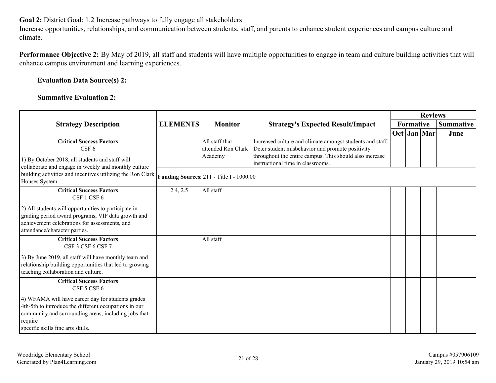**Goal 2:** District Goal: 1.2 Increase pathways to fully engage all stakeholders

Increase opportunities, relationships, and communication between students, staff, and parents to enhance student experiences and campus culture and climate.

**Performance Objective 2:** By May of 2019, all staff and students will have multiple opportunities to engage in team and culture building activities that will enhance campus environment and learning experiences.

### **Evaluation Data Source(s) 2:**

### **Summative Evaluation 2:**

|                                                                                                                                                                                                                    |                 |                                                 |                                                                                                                                                                                                               |  | <b>Reviews</b> |  |                  |  |
|--------------------------------------------------------------------------------------------------------------------------------------------------------------------------------------------------------------------|-----------------|-------------------------------------------------|---------------------------------------------------------------------------------------------------------------------------------------------------------------------------------------------------------------|--|----------------|--|------------------|--|
| <b>Strategy Description</b>                                                                                                                                                                                        | <b>ELEMENTS</b> | <b>Monitor</b>                                  | <b>Strategy's Expected Result/Impact</b>                                                                                                                                                                      |  | Formative      |  | <b>Summative</b> |  |
|                                                                                                                                                                                                                    |                 |                                                 |                                                                                                                                                                                                               |  | $Oct$ Jan Mar  |  | June             |  |
| <b>Critical Success Factors</b><br>CSF <sub>6</sub><br>1) By October 2018, all students and staff will<br>collaborate and engage in weekly and monthly culture                                                     |                 | All staff that<br>attended Ron Clark<br>Academy | Increased culture and climate amongst students and staff.<br>Deter student misbehavior and promote positivity<br>throughout the entire campus. This should also increase<br>instructional time in classrooms. |  |                |  |                  |  |
| building activities and incentives utilizing the Ron Clark<br>Houses System.                                                                                                                                       |                 | <b>Funding Sources: 211 - Title I - 1000.00</b> |                                                                                                                                                                                                               |  |                |  |                  |  |
| <b>Critical Success Factors</b><br>CSF 1 CSF 6                                                                                                                                                                     | 2.4, 2.5        | All staff                                       |                                                                                                                                                                                                               |  |                |  |                  |  |
| 2) All students will opportunities to participate in<br>grading period award programs, VIP data growth and<br>achievement celebrations for assessments, and<br>attendance/character parties.                       |                 |                                                 |                                                                                                                                                                                                               |  |                |  |                  |  |
| <b>Critical Success Factors</b><br>CSF 3 CSF 6 CSF 7                                                                                                                                                               |                 | All staff                                       |                                                                                                                                                                                                               |  |                |  |                  |  |
| 3) By June 2019, all staff will have monthly team and<br>relationship building opportunities that led to growing<br>teaching collaboration and culture.                                                            |                 |                                                 |                                                                                                                                                                                                               |  |                |  |                  |  |
| <b>Critical Success Factors</b><br>CSF 5 CSF 6                                                                                                                                                                     |                 |                                                 |                                                                                                                                                                                                               |  |                |  |                  |  |
| 4) WFAMA will have career day for students grades<br>4th-5th to introduce the different occupations in our<br>community and surrounding areas, including jobs that<br>require<br>specific skills fine arts skills. |                 |                                                 |                                                                                                                                                                                                               |  |                |  |                  |  |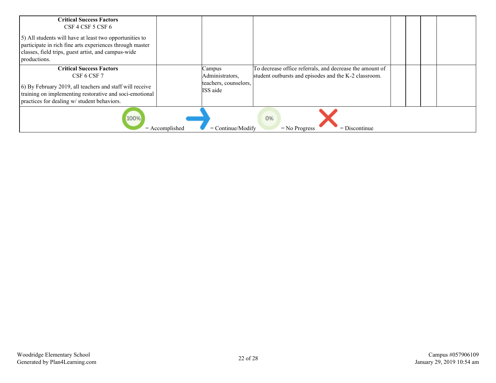| <b>Critical Success Factors</b><br>CSF 4 CSF 5 CSF 6<br>[5] All students will have at least two opportunities to<br>participate in rich fine arts experiences through master<br>classes, field trips, guest artist, and campus-wide<br>productions. |                                                                                                                                                                                            |  |  |  |
|-----------------------------------------------------------------------------------------------------------------------------------------------------------------------------------------------------------------------------------------------------|--------------------------------------------------------------------------------------------------------------------------------------------------------------------------------------------|--|--|--|
| <b>Critical Success Factors</b><br>CSF 6 CSF 7<br>(6) By February 2019, all teachers and staff will receive<br>training on implementing restorative and soci-emotional<br>practices for dealing w/ student behaviors.                               | Campus<br>To decrease office referrals, and decrease the amount of<br>Administrators,<br>student outbursts and episodes and the K-2 classroom.<br>teachers, counselors,<br><b>ISS</b> aide |  |  |  |
| 100%<br>$=$ Accomplished                                                                                                                                                                                                                            | 0%<br>$=$ Continue/Modify<br>$=$ No Progress<br>$=$ Discontinue                                                                                                                            |  |  |  |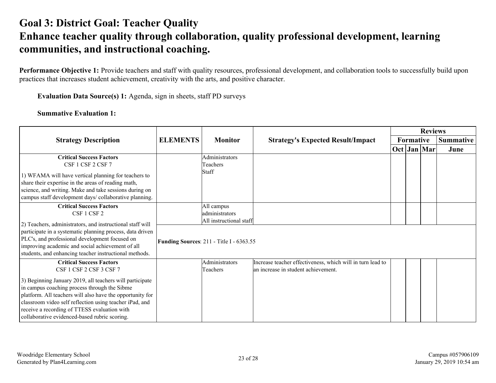### <span id="page-22-0"></span>**Goal 3: District Goal: Teacher Quality Enhance teacher quality through collaboration, quality professional development, learning communities, and instructional coaching.**

Performance Objective 1: Provide teachers and staff with quality resources, professional development, and collaboration tools to successfully build upon practices that increases student achievement, creativity with the arts, and positive character.

**Evaluation Data Source(s) 1:** Agenda, sign in sheets, staff PD surveys

**Summative Evaluation 1:**

|                                                                                                                                                                                                                                                                                                                                   |                 |                                                                     |                                                                                                   | <b>Reviews</b> |           |               |                  |
|-----------------------------------------------------------------------------------------------------------------------------------------------------------------------------------------------------------------------------------------------------------------------------------------------------------------------------------|-----------------|---------------------------------------------------------------------|---------------------------------------------------------------------------------------------------|----------------|-----------|---------------|------------------|
| <b>Strategy Description</b>                                                                                                                                                                                                                                                                                                       | <b>ELEMENTS</b> | <b>Monitor</b>                                                      | <b>Strategy's Expected Result/Impact</b>                                                          |                | Formative |               | <b>Summative</b> |
|                                                                                                                                                                                                                                                                                                                                   |                 |                                                                     |                                                                                                   |                |           | $Oct$ Jan Mar | June             |
| <b>Critical Success Factors</b><br>CSF 1 CSF 2 CSF 7                                                                                                                                                                                                                                                                              |                 | Administrators<br>Teachers                                          |                                                                                                   |                |           |               |                  |
| 1) WFAMA will have vertical planning for teachers to<br>share their expertise in the areas of reading math,<br>science, and writing. Make and take sessions during on<br>campus staff development days/ collaborative planning.                                                                                                   |                 | Staff                                                               |                                                                                                   |                |           |               |                  |
| <b>Critical Success Factors</b><br>CSF 1 CSF 2                                                                                                                                                                                                                                                                                    |                 | All campus<br>administrators                                        |                                                                                                   |                |           |               |                  |
| 2) Teachers, administrators, and instructional staff will<br>participate in a systematic planning process, data driven<br>PLC's, and professional development focused on<br>improving academic and social achievement of all<br>students, and enhancing teacher instructional methods.                                            |                 | All instructional staff<br>Funding Sources: 211 - Title I - 6363.55 |                                                                                                   |                |           |               |                  |
| <b>Critical Success Factors</b><br>CSF 1 CSF 2 CSF 3 CSF 7                                                                                                                                                                                                                                                                        |                 | Administrators<br>Teachers                                          | Increase teacher effectiveness, which will in turn lead to<br>an increase in student achievement. |                |           |               |                  |
| 3) Beginning January 2019, all teachers will participate<br>in campus coaching process through the Sibme<br>platform. All teachers will also have the opportunity for<br>classroom video self reflection using teacher iPad, and<br>receive a recording of TTESS evaluation with<br>collaborative evidenced-based rubric scoring. |                 |                                                                     |                                                                                                   |                |           |               |                  |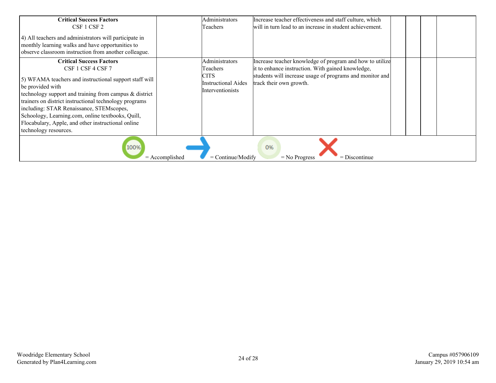| <b>Critical Success Factors</b>                                                                                                                                                                                                                                                                                                                                                                                                         | Administrators                                                                       | Increase teacher effectiveness and staff culture, which                                                                                                                                              |  |  |
|-----------------------------------------------------------------------------------------------------------------------------------------------------------------------------------------------------------------------------------------------------------------------------------------------------------------------------------------------------------------------------------------------------------------------------------------|--------------------------------------------------------------------------------------|------------------------------------------------------------------------------------------------------------------------------------------------------------------------------------------------------|--|--|
| CSF 1 CSF 2                                                                                                                                                                                                                                                                                                                                                                                                                             | Teachers                                                                             | will in turn lead to an increase in student achievement.                                                                                                                                             |  |  |
| 4) All teachers and administrators will participate in<br>monthly learning walks and have opportunities to<br>observe classroom instruction from another colleague.                                                                                                                                                                                                                                                                     |                                                                                      |                                                                                                                                                                                                      |  |  |
| <b>Critical Success Factors</b><br>CSF 1 CSF 4 CSF 7<br>[5] WFAMA teachers and instructional support staff will<br>be provided with<br>technology support and training from campus & district<br>trainers on district instructional technology programs<br>including: STAR Renaissance, STEMscopes,<br>Schoology, Learning.com, online textbooks, Quill,<br>Flocabulary, Apple, and other instructional online<br>technology resources. | Administrators<br>Teachers<br><b>CITS</b><br>Instructional Aides<br>Interventionists | Increase teacher knowledge of program and how to utilize<br>it to enhance instruction. With gained knowledge,<br>students will increase usage of programs and monitor and<br>track their own growth. |  |  |
|                                                                                                                                                                                                                                                                                                                                                                                                                                         |                                                                                      |                                                                                                                                                                                                      |  |  |
| 100%                                                                                                                                                                                                                                                                                                                                                                                                                                    | $=$ Continue/Modify<br>$=$ Accomplished                                              | 0%<br>$=$ Discontinue<br>$=$ No Progress                                                                                                                                                             |  |  |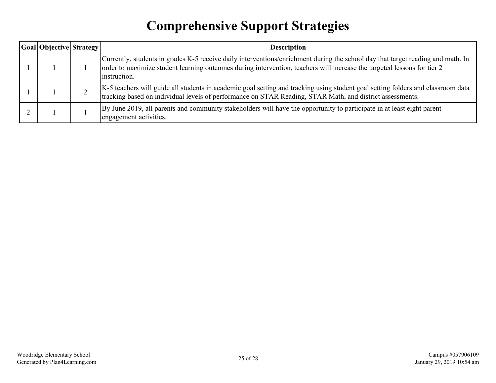## **Comprehensive Support Strategies**

<span id="page-24-0"></span>

| Goal Objective Strategy | <b>Description</b>                                                                                                                                                                                                                                                         |
|-------------------------|----------------------------------------------------------------------------------------------------------------------------------------------------------------------------------------------------------------------------------------------------------------------------|
|                         | Currently, students in grades K-5 receive daily interventions/enrichment during the school day that target reading and math. In<br>order to maximize student learning outcomes during intervention, teachers will increase the targeted lessons for tier 2<br>instruction. |
|                         | K-5 teachers will guide all students in academic goal setting and tracking using student goal setting folders and classroom data<br>tracking based on individual levels of performance on STAR Reading, STAR Math, and district assessments.                               |
|                         | By June 2019, all parents and community stakeholders will have the opportunity to participate in at least eight parent<br>engagement activities.                                                                                                                           |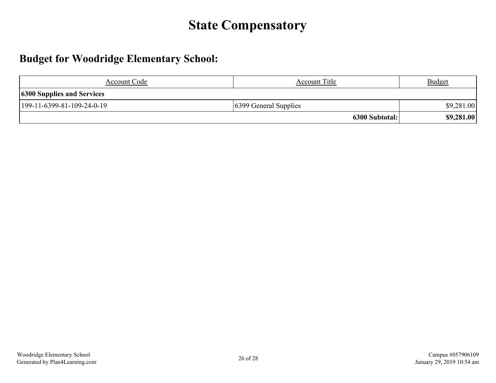## **State Compensatory**

### <span id="page-25-0"></span>**Budget for Woodridge Elementary School:**

| Account Code                      | <b>Account Title</b>  | <b>Budget</b> |  |  |
|-----------------------------------|-----------------------|---------------|--|--|
| <b>6300 Supplies and Services</b> |                       |               |  |  |
| 199-11-6399-81-109-24-0-19        | 6399 General Supplies | \$9,281.00    |  |  |
|                                   | 6300 Subtotal:        | \$9,281.00    |  |  |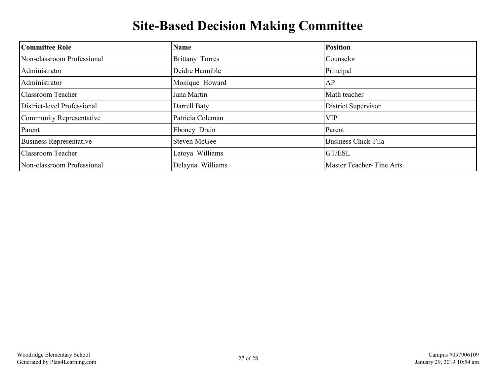## **Site-Based Decision Making Committee**

<span id="page-26-0"></span>

| <b>Committee Role</b>          | Name             | <b>Position</b>           |
|--------------------------------|------------------|---------------------------|
| Non-classroom Professional     | Brittany Torres  | Counselor                 |
| Administrator                  | Deidre Hannible  | Principal                 |
| Administrator                  | Monique Howard   | AP                        |
| <b>Classroom Teacher</b>       | Jana Martin      | Math teacher              |
| District-level Professional    | Darrell Baty     | District Supervisor       |
| Community Representative       | Patricia Coleman | <b>VIP</b>                |
| Parent                         | Eboney Drain     | Parent                    |
| <b>Business Representative</b> | Steven McGee     | Business Chick-Fila       |
| <b>Classroom Teacher</b>       | Latoya Williams  | <b>GT/ESL</b>             |
| Non-classroom Professional     | Delayna Williams | Master Teacher- Fine Arts |